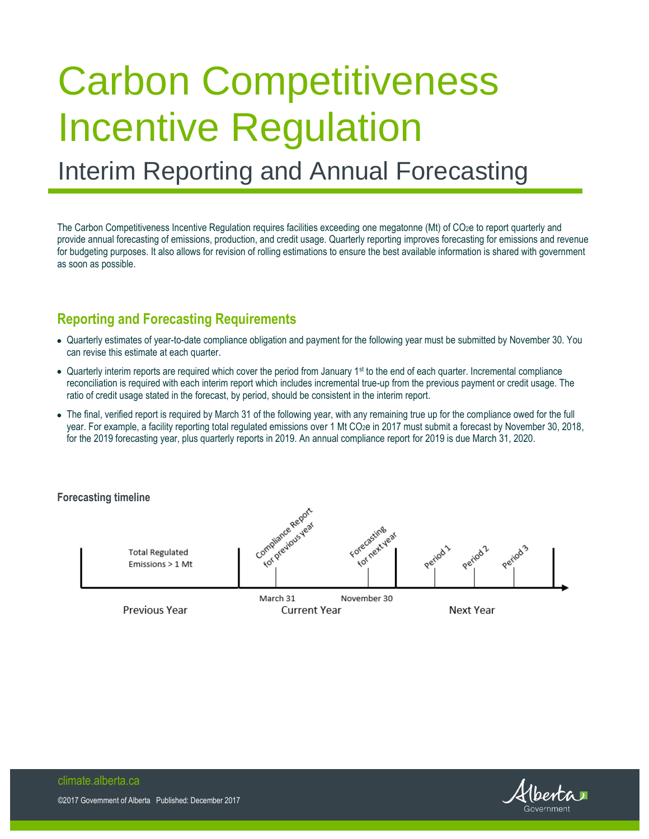# Carbon Competitiveness Incentive Regulation

# Interim Reporting and Annual Forecasting

The Carbon Competitiveness Incentive Regulation requires facilities exceeding one megatonne (Mt) of CO2e to report quarterly and provide annual forecasting of emissions, production, and credit usage. Quarterly reporting improves forecasting for emissions and revenue for budgeting purposes. It also allows for revision of rolling estimations to ensure the best available information is shared with government as soon as possible.

# **Reporting and Forecasting Requirements**

- Quarterly estimates of year-to-date compliance obligation and payment for the following year must be submitted by November 30. You can revise this estimate at each quarter.
- Quarterly interim reports are required which cover the period from January 1<sup>st</sup> to the end of each quarter. Incremental compliance reconciliation is required with each interim report which includes incremental true-up from the previous payment or credit usage. The ratio of credit usage stated in the forecast, by period, should be consistent in the interim report.
- The final, verified report is required by March 31 of the following year, with any remaining true up for the compliance owed for the full year. For example, a facility reporting total regulated emissions over 1 Mt CO<sub>2</sub>e in 2017 must submit a forecast by November 30, 2018, for the 2019 forecasting year, plus quarterly reports in 2019. An annual compliance report for 2019 is due March 31, 2020.

#### **Forecasting timeline**